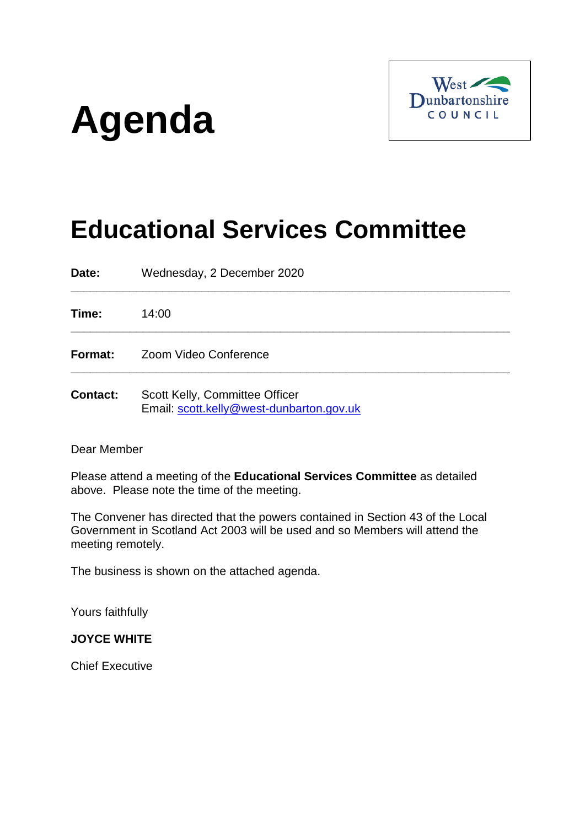# **Agenda**



# **Educational Services Committee**

**\_\_\_\_\_\_\_\_\_\_\_\_\_\_\_\_\_\_\_\_\_\_\_\_\_\_\_\_\_\_\_\_\_\_\_\_\_\_\_\_\_\_\_\_\_\_\_\_\_\_\_\_\_\_\_\_\_\_\_\_\_\_\_\_\_\_\_**

**\_\_\_\_\_\_\_\_\_\_\_\_\_\_\_\_\_\_\_\_\_\_\_\_\_\_\_\_\_\_\_\_\_\_\_\_\_\_\_\_\_\_\_\_\_\_\_\_\_\_\_\_\_\_\_\_\_\_\_\_\_\_\_\_\_\_\_**

**\_\_\_\_\_\_\_\_\_\_\_\_\_\_\_\_\_\_\_\_\_\_\_\_\_\_\_\_\_\_\_\_\_\_\_\_\_\_\_\_\_\_\_\_\_\_\_\_\_\_\_\_\_\_\_\_\_\_\_\_\_\_\_\_\_\_\_**

**Date:** Wednesday, 2 December 2020

**Time:** 14:00

**Format:** Zoom Video Conference

**Contact:** Scott Kelly, Committee Officer Email: [scott.kelly@west-dunbarton.gov.uk](mailto:scott.kelly@west-dunbarton.gov.uk)

Dear Member

Please attend a meeting of the **Educational Services Committee** as detailed above. Please note the time of the meeting.

The Convener has directed that the powers contained in Section 43 of the Local Government in Scotland Act 2003 will be used and so Members will attend the meeting remotely.

The business is shown on the attached agenda.

Yours faithfully

# **JOYCE WHITE**

Chief Executive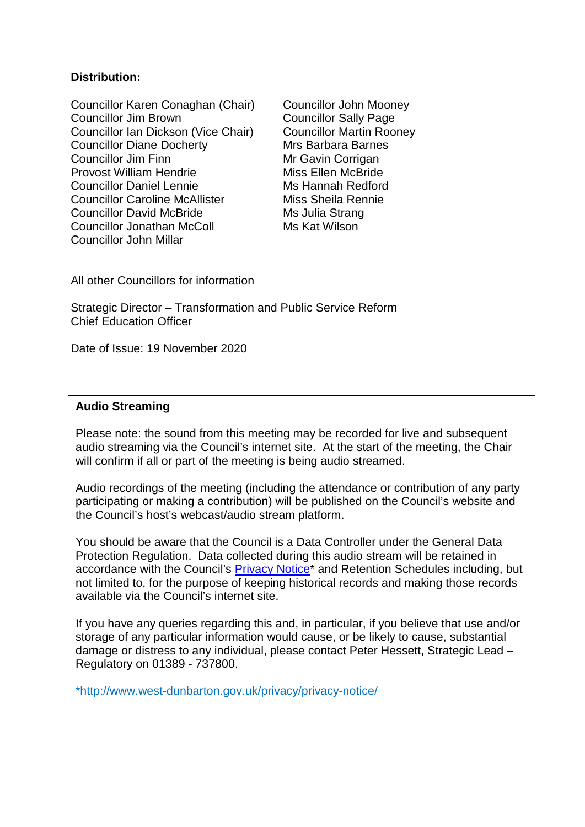# **Distribution:**

Councillor Karen Conaghan (Chair) Councillor John Mooney Councillor Jim Brown Councillor Sally Page Councillor Ian Dickson (Vice Chair) Councillor Martin Rooney Councillor Diane Docherty Mrs Barbara Barnes Councillor Jim Finn Mr Gavin Corrigan Provost William Hendrie Miss Ellen McBride Councillor Daniel Lennie Ms Hannah Redford Councillor Caroline McAllister Miss Sheila Rennie Councillor David McBride Ms Julia Strang Councillor Jonathan McColl Ms Kat Wilson Councillor John Millar

All other Councillors for information

Strategic Director – Transformation and Public Service Reform Chief Education Officer

Date of Issue: 19 November 2020

# **Audio Streaming**

Please note: the sound from this meeting may be recorded for live and subsequent audio streaming via the Council's internet site. At the start of the meeting, the Chair will confirm if all or part of the meeting is being audio streamed.

Audio recordings of the meeting (including the attendance or contribution of any party participating or making a contribution) will be published on the Council's website and the Council's host's webcast/audio stream platform.

You should be aware that the Council is a Data Controller under the General Data Protection Regulation. Data collected during this audio stream will be retained in accordance with the Council's [Privacy Notice\\*](http://www.west-dunbarton.gov.uk/privacy/privacy-notice/) and Retention Schedules including, but not limited to, for the purpose of keeping historical records and making those records available via the Council's internet site.

If you have any queries regarding this and, in particular, if you believe that use and/or storage of any particular information would cause, or be likely to cause, substantial damage or distress to any individual, please contact Peter Hessett, Strategic Lead – Regulatory on 01389 - 737800.

\*http://www.west-dunbarton.gov.uk/privacy/privacy-notice/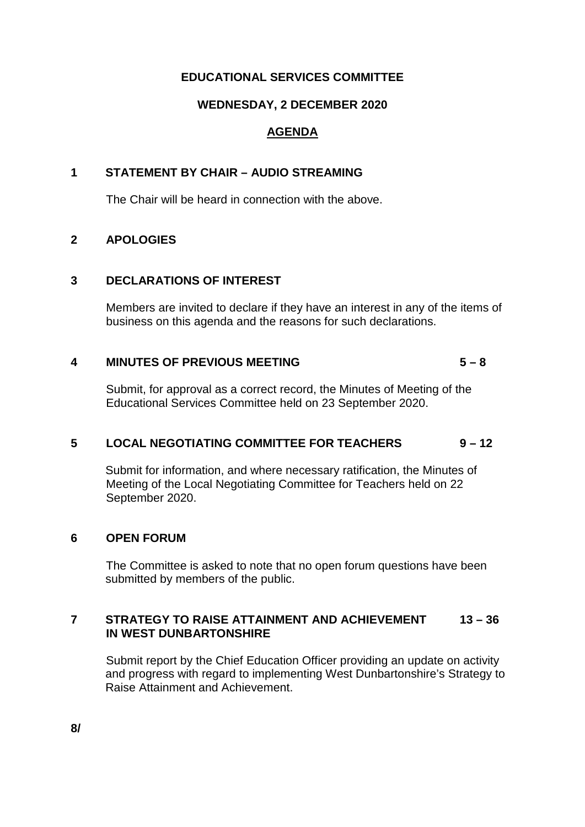# **EDUCATIONAL SERVICES COMMITTEE**

# **WEDNESDAY, 2 DECEMBER 2020**

# **AGENDA**

# **1 STATEMENT BY CHAIR – AUDIO STREAMING**

The Chair will be heard in connection with the above.

# **2 APOLOGIES**

# **3 DECLARATIONS OF INTEREST**

Members are invited to declare if they have an interest in any of the items of business on this agenda and the reasons for such declarations.

# **4 MINUTES OF PREVIOUS MEETING 5 – 8**

Submit, for approval as a correct record, the Minutes of Meeting of the Educational Services Committee held on 23 September 2020.

# **5 LOCAL NEGOTIATING COMMITTEE FOR TEACHERS 9 – 12**

Submit for information, and where necessary ratification, the Minutes of Meeting of the Local Negotiating Committee for Teachers held on 22 September 2020.

# **6 OPEN FORUM**

The Committee is asked to note that no open forum questions have been submitted by members of the public.

# **7 STRATEGY TO RAISE ATTAINMENT AND ACHIEVEMENT 13 – 36 IN WEST DUNBARTONSHIRE**

Submit report by the Chief Education Officer providing an update on activity and progress with regard to implementing West Dunbartonshire's Strategy to Raise Attainment and Achievement.